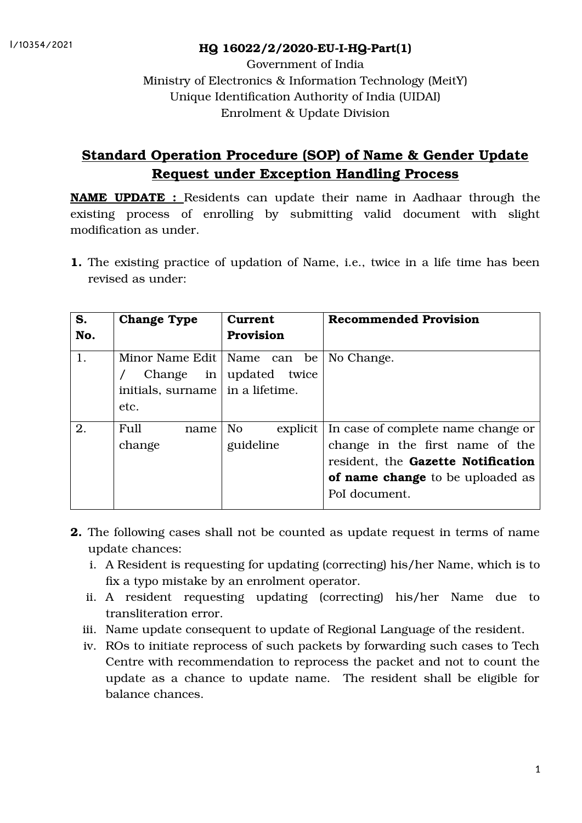## HQ 16022/2/2020-EU-I-HQ-Part(1)

Government of India Ministry of Electronics & Information Technology (MeitY) Unique Identification Authority of India (UIDAI) Enrolment & Update Division

# Standard Operation Procedure (SOP) of Name & Gender Update Request under Exception Handling Process

NAME UPDATE : Residents can update their name in Aadhaar through the existing process of enrolling by submitting valid document with slight modification as under.

1. The existing practice of updation of Name, i.e., twice in a life time has been revised as under:

| S.  | <b>Change Type</b>                                                                  | <b>Current</b>                          | <b>Recommended Provision</b>                                                                                                                                            |
|-----|-------------------------------------------------------------------------------------|-----------------------------------------|-------------------------------------------------------------------------------------------------------------------------------------------------------------------------|
| No. |                                                                                     | <b>Provision</b>                        |                                                                                                                                                                         |
| 1.  | Minor Name Edit<br>Change<br>in<br>initials, surname $\vert$ in a lifetime.<br>etc. | Name can be<br>updated twice            | No Change.                                                                                                                                                              |
| 2.  | Full<br>name<br>change                                                              | N <sub>o</sub><br>explicit<br>guideline | In case of complete name change or<br>change in the first name of the<br>resident, the Gazette Notification<br><b>of name change</b> to be uploaded as<br>PoI document. |

- 2. The following cases shall not be counted as update request in terms of name update chances:
	- i. A Resident is requesting for updating (correcting) his/her Name, which is to fix a typo mistake by an enrolment operator.
	- ii. A resident requesting updating (correcting) his/her Name due to transliteration error.
	- iii. Name update consequent to update of Regional Language of the resident.
	- iv. ROs to initiate reprocess of such packets by forwarding such cases to Tech Centre with recommendation to reprocess the packet and not to count the update as a chance to update name. The resident shall be eligible for balance chances.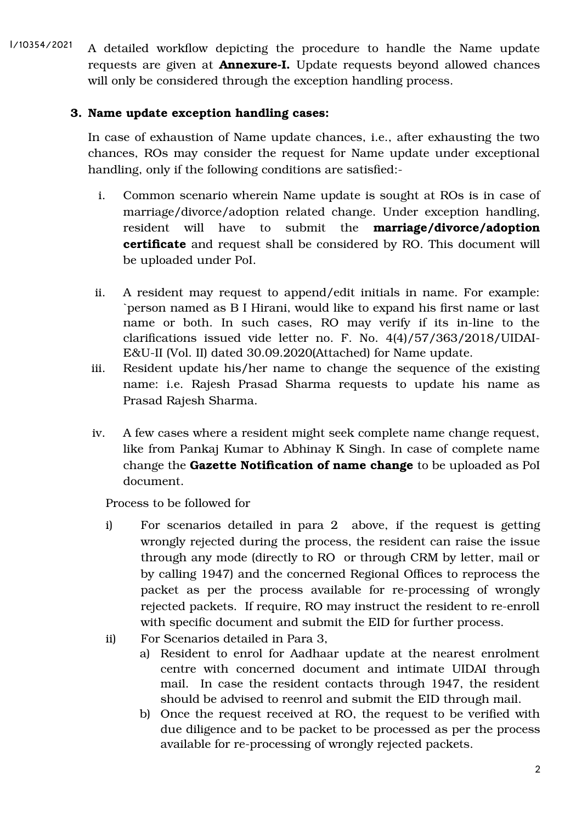A detailed workflow depicting the procedure to handle the Name update requests are given at **Annexure-I.** Update requests beyond allowed chances will only be considered through the exception handling process. I/10354/2021

# 3. Name update exception handling cases:

In case of exhaustion of Name update chances, i.e., after exhausting the two chances, ROs may consider the request for Name update under exceptional handling, only if the following conditions are satisfied:-

- i. Common scenario wherein Name update is sought at ROs is in case of marriage/divorce/adoption related change. Under exception handling, resident will have to submit the marriage/divorce/adoption certificate and request shall be considered by RO. This document will be uploaded under PoI.
- ii. A resident may request to append/edit initials in name. For example: `person named as B I Hirani, would like to expand his first name or last name or both. In such cases, RO may verify if its in-line to the clarifications issued vide letter no. F. No. 4(4)/57/363/2018/UIDAI-E&U-II (Vol. II) dated 30.09.2020(Attached) for Name update.
- iii. Resident update his/her name to change the sequence of the existing name: i.e. Rajesh Prasad Sharma requests to update his name as Prasad Rajesh Sharma.
- iv. A few cases where a resident might seek complete name change request, like from Pankaj Kumar to Abhinay K Singh. In case of complete name change the Gazette Notification of name change to be uploaded as PoI document.

Process to be followed for

- i) For scenarios detailed in para 2 above, if the request is getting wrongly rejected during the process, the resident can raise the issue through any mode (directly to RO or through CRM by letter, mail or by calling 1947) and the concerned Regional Offices to reprocess the packet as per the process available for re-processing of wrongly rejected packets. If require, RO may instruct the resident to re-enroll with specific document and submit the EID for further process.
- ii) For Scenarios detailed in Para 3,
	- a) Resident to enrol for Aadhaar update at the nearest enrolment centre with concerned document and intimate UIDAI through mail. In case the resident contacts through 1947, the resident should be advised to reenrol and submit the EID through mail.
	- b) Once the request received at RO, the request to be verified with due diligence and to be packet to be processed as per the process available for re-processing of wrongly rejected packets.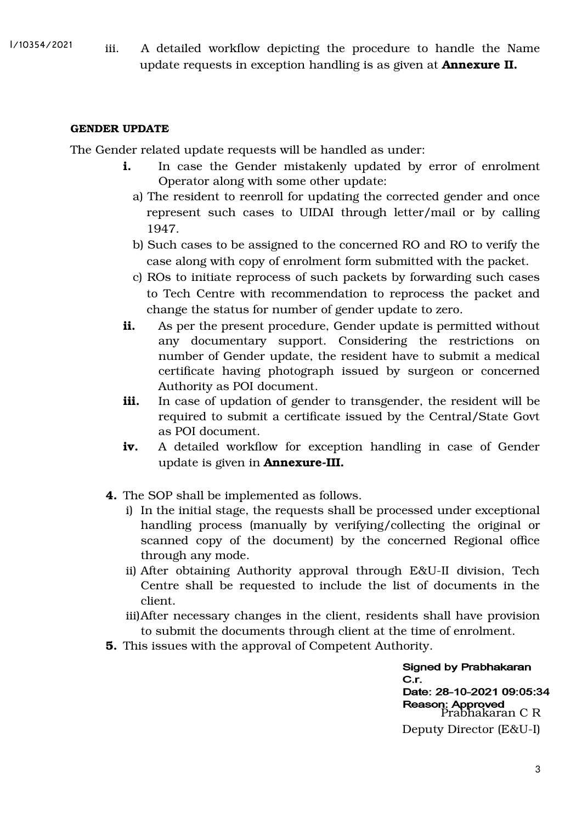iii. A detailed workflow depicting the procedure to handle the Name update requests in exception handling is as given at Annexure II.

#### GENDER UPDATE

The Gender related update requests will be handled as under:

- i. In case the Gender mistakenly updated by error of enrolment Operator along with some other update:
	- a) The resident to reenroll for updating the corrected gender and once represent such cases to UIDAI through letter/mail or by calling 1947.
	- b) Such cases to be assigned to the concerned RO and RO to verify the case along with copy of enrolment form submitted with the packet.
	- c) ROs to initiate reprocess of such packets by forwarding such cases to Tech Centre with recommendation to reprocess the packet and change the status for number of gender update to zero.
- i. As per the present procedure, Gender update is permitted without any documentary support. Considering the restrictions on number of Gender update, the resident have to submit a medical certificate having photograph issued by surgeon or concerned Authority as POI document.
- iii. In case of updation of gender to transgender, the resident will be required to submit a certificate issued by the Central/State Govt as POI document.
- iv. A detailed workflow for exception handling in case of Gender update is given in Annexure-III.
- 4. The SOP shall be implemented as follows.
	- i) In the initial stage, the requests shall be processed under exceptional handling process (manually by verifying/collecting the original or scanned copy of the document) by the concerned Regional office through any mode.
	- ii) After obtaining Authority approval through E&U-II division, Tech Centre shall be requested to include the list of documents in the client.
	- iii)After necessary changes in the client, residents shall have provision to submit the documents through client at the time of enrolment.
- 5. This issues with the approval of Competent Authority.

**Signed by Prabhakaran**  $C.r.$ Date: 28-10-2021 09:05:34 Reason: Approved<br>Prabhakaran C R Deputy Director (E&U-I)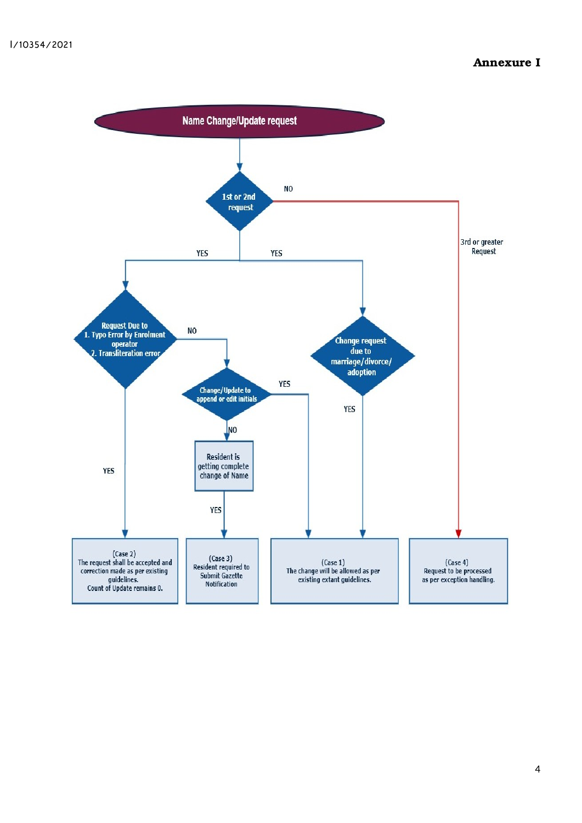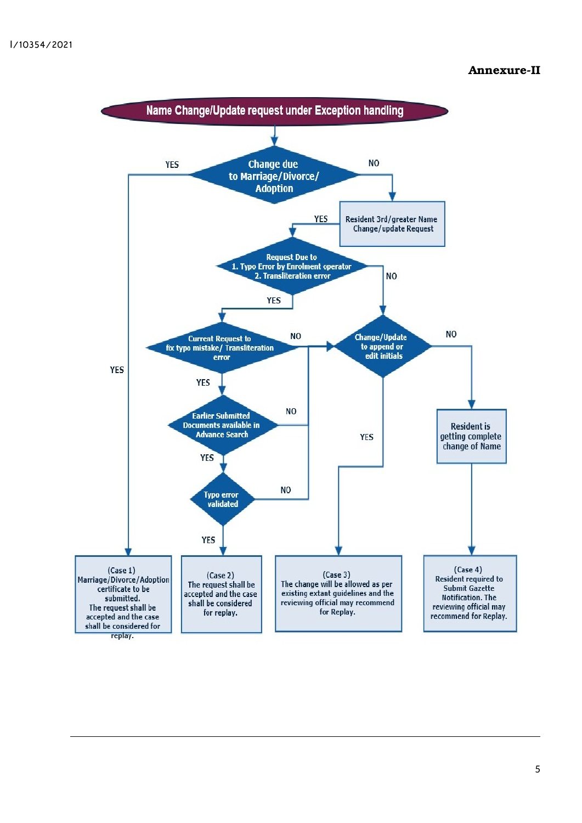## Annexure-II